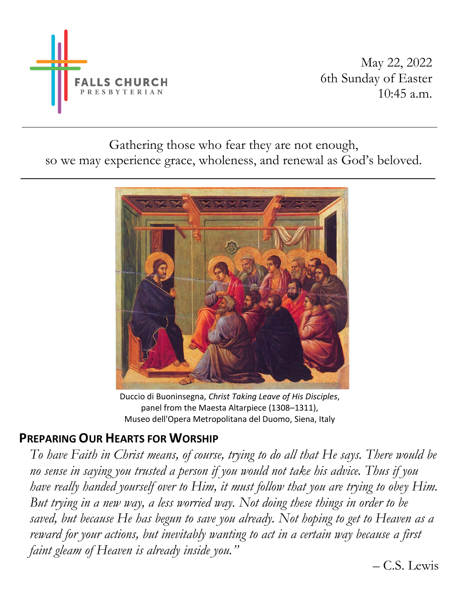

Gathering those who fear they are not enough, so we may experience grace, wholeness, and renewal as God's beloved.



Duccio di Buoninsegna, *Christ Taking Leave of His Disciples*, panel from the Maesta Altarpiece (1308–1311), Museo dell'Opera Metropolitana del Duomo, Siena, Italy

## **PREPARING OUR HEARTS FOR WORSHIP**

*To have Faith in Christ means, of course, trying to do all that He says. There would be no sense in saying you trusted a person if you would not take his advice. Thus if you have really handed yourself over to Him, it must follow that you are trying to obey Him. But trying in a new way, a less worried way. Not doing these things in order to be saved, but because He has begun to save you already. Not hoping to get to Heaven as a reward for your actions, but inevitably wanting to act in a certain way because a first faint gleam of Heaven is already inside you."* 

– C.S. Lewis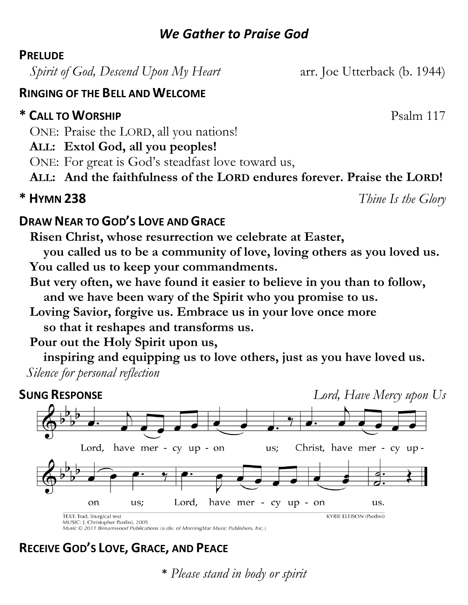## *We Gather to Praise God*

#### **PRELUDE**

*Spirit of God, Descend Upon My Heart* arr. Joe Utterback (b. 1944)

#### **RINGING OF THE BELL AND WELCOME**

## **\* CALL TO WORSHIP** Psalm 117

- ONE: Praise the LORD, all you nations!
- **ALL: Extol God, all you peoples!**
- ONE: For great is God's steadfast love toward us,
- **ALL: And the faithfulness of the LORD endures forever. Praise the LORD!**

**\* HYMN 238** *Thine Is the Glory*

#### **DRAW NEAR TO GOD'S LOVE AND GRACE**

**Risen Christ, whose resurrection we celebrate at Easter,** 

**you called us to be a community of love, loving others as you loved us. You called us to keep your commandments.**

- **But very often, we have found it easier to believe in you than to follow, and we have been wary of the Spirit who you promise to us.**
- **Loving Savior, forgive us. Embrace us in your love once more so that it reshapes and transforms us.**
- **Pour out the Holy Spirit upon us,**

**inspiring and equipping us to love others, just as you have loved us.** *Silence for personal reflection*



Music © 2011 Birnamwood Publications (a div. of MorningStar Music Publishers, Inc.)

## **RECEIVE GOD'S LOVE, GRACE, AND PEACE**

**\*** *Please stand in body or spirit*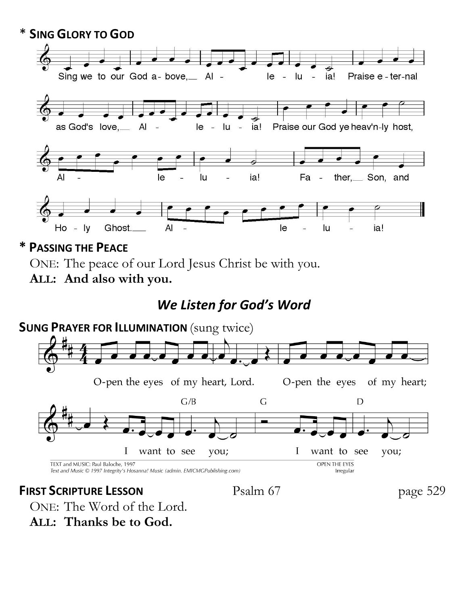

**\* PASSING THE PEACE**

ONE: The peace of our Lord Jesus Christ be with you.

**ALL: And also with you.**

# *We Listen for God's Word*



ONE: The Word of the Lord. **ALL: Thanks be to God.**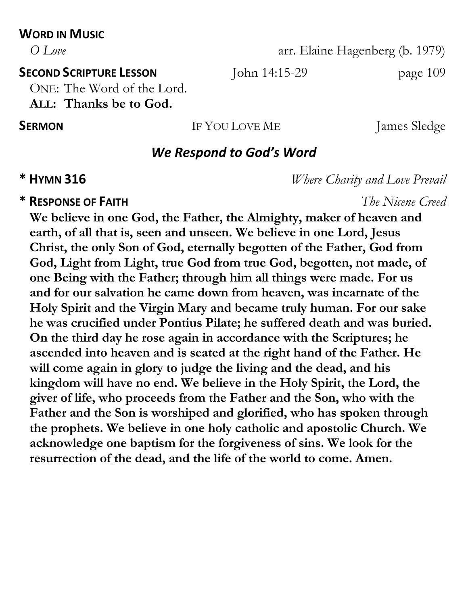## **WORD IN MUSIC**

*O Love* arr. Elaine Hagenberg (b. 1979)

**SECOND SCRIPTURE LESSON** John 14:15-29 page 109

ONE: The Word of the Lord.

**ALL: Thanks be to God.**

**SERMON** IF YOU LOVE ME James Sledge

## *We Respond to God's Word*

## **\* RESPONSE OF FAITH** *The Nicene Creed*

**We believe in one God, the Father, the Almighty, maker of heaven and earth, of all that is, seen and unseen. We believe in one Lord, Jesus Christ, the only Son of God, eternally begotten of the Father, God from God, Light from Light, true God from true God, begotten, not made, of one Being with the Father; through him all things were made. For us and for our salvation he came down from heaven, was incarnate of the Holy Spirit and the Virgin Mary and became truly human. For our sake he was crucified under Pontius Pilate; he suffered death and was buried. On the third day he rose again in accordance with the Scriptures; he ascended into heaven and is seated at the right hand of the Father. He will come again in glory to judge the living and the dead, and his kingdom will have no end. We believe in the Holy Spirit, the Lord, the giver of life, who proceeds from the Father and the Son, who with the Father and the Son is worshiped and glorified, who has spoken through the prophets. We believe in one holy catholic and apostolic Church. We acknowledge one baptism for the forgiveness of sins. We look for the resurrection of the dead, and the life of the world to come. Amen.**

**\* HYMN 316** *Where Charity and Love Prevail*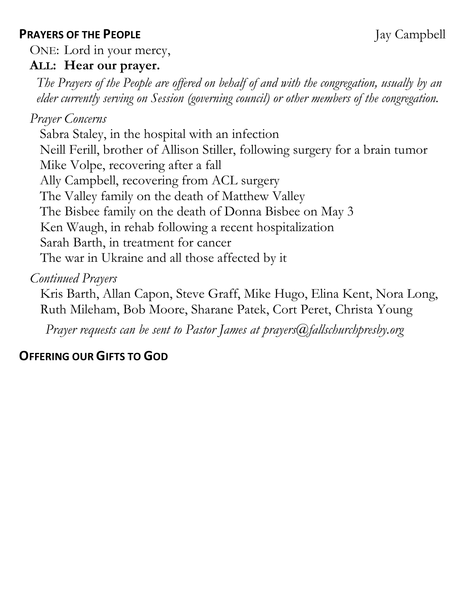## **PRAYERS OF THE PEOPLE** Jay Campbell

ONE: Lord in your mercy,

## **ALL: Hear our prayer.**

*The Prayers of the People are offered on behalf of and with the congregation, usually by an elder currently serving on Session (governing council) or other members of the congregation.*

## *Prayer Concerns*

Sabra Staley, in the hospital with an infection Neill Ferill, brother of Allison Stiller, following surgery for a brain tumor Mike Volpe, recovering after a fall Ally Campbell, recovering from ACL surgery The Valley family on the death of Matthew Valley The Bisbee family on the death of Donna Bisbee on May 3 Ken Waugh, in rehab following a recent hospitalization Sarah Barth, in treatment for cancer The war in Ukraine and all those affected by it

## *Continued Prayers*

Kris Barth, Allan Capon, Steve Graff, Mike Hugo, Elina Kent, Nora Long, Ruth Mileham, Bob Moore, Sharane Patek, Cort Peret, Christa Young

*Prayer requests can be sent to Pastor James at prayers@fallschurchpresby.org*

## **OFFERING OUR GIFTS TO GOD**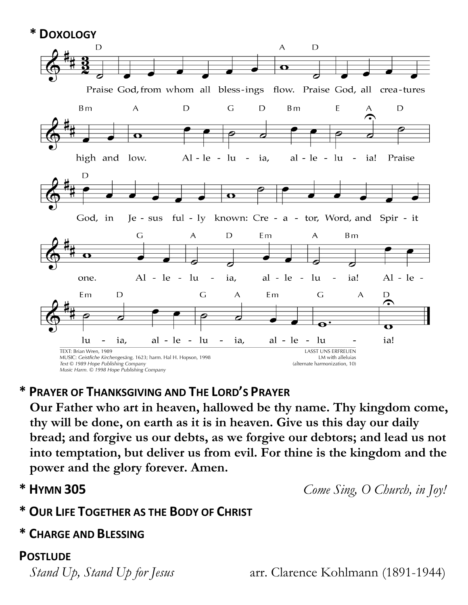**\* DOXOLOGY**



## **\* PRAYER OF THANKSGIVING AND THE LORD'S PRAYER**

**Our Father who art in heaven, hallowed be thy name. Thy kingdom come, thy will be done, on earth as it is in heaven. Give us this day our daily bread; and forgive us our debts, as we forgive our debtors; and lead us not into temptation, but deliver us from evil. For thine is the kingdom and the power and the glory forever. Amen.**

**\* HYMN 305** *Come Sing, O Church, in Joy!*

## **\* OUR LIFE TOGETHER AS THE BODY OF CHRIST**

## **\* CHARGE AND BLESSING**

## **POSTLUDE**

*Stand Up, Stand Up for Jesus* arr. Clarence Kohlmann (1891-1944)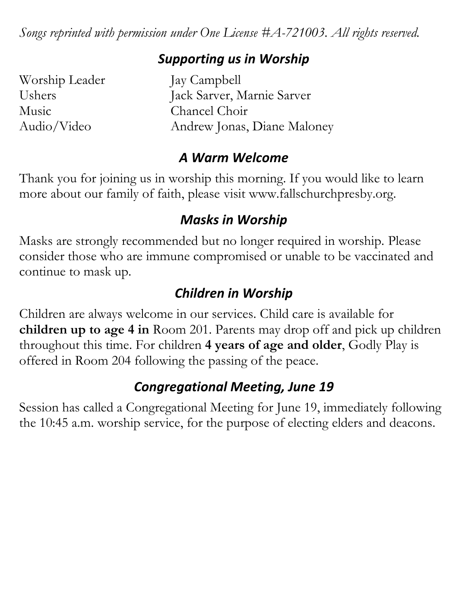*Songs reprinted with permission under One License #A-721003. All rights reserved.*

## *Supporting us in Worship*

Worship Leader Jay Campbell Music Chancel Choir

Ushers Jack Sarver, Marnie Sarver Audio/Video Andrew Jonas, Diane Maloney

## *A Warm Welcome*

Thank you for joining us in worship this morning. If you would like to learn more about our family of faith, please visit www.fallschurchpresby.org.

## *Masks in Worship*

Masks are strongly recommended but no longer required in worship. Please consider those who are immune compromised or unable to be vaccinated and continue to mask up.

# *Children in Worship*

Children are always welcome in our services. Child care is available for **children up to age 4 in** Room 201. Parents may drop off and pick up children throughout this time. For children **4 years of age and older**, Godly Play is offered in Room 204 following the passing of the peace.

# *Congregational Meeting, June 19*

Session has called a Congregational Meeting for June 19, immediately following the 10:45 a.m. worship service, for the purpose of electing elders and deacons.